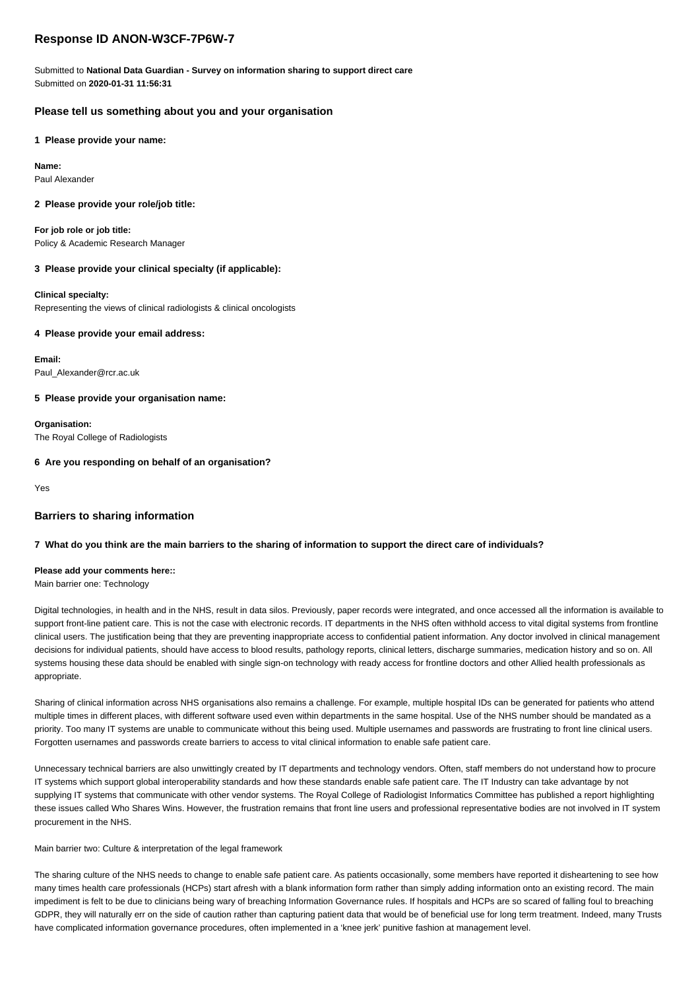# **Response ID ANON-W3CF-7P6W-7**

Submitted to **National Data Guardian - Survey on information sharing to support direct care** Submitted on **2020-01-31 11:56:31**

# **Please tell us something about you and your organisation**

**1 Please provide your name:**

**Name:** Paul Alexander

# **2 Please provide your role/job title:**

**For job role or job title:** Policy & Academic Research Manager

# **3 Please provide your clinical specialty (if applicable):**

**Clinical specialty:**

Representing the views of clinical radiologists & clinical oncologists

# **4 Please provide your email address:**

**Email:** Paul\_Alexander@rcr.ac.uk

**5 Please provide your organisation name:**

**Organisation:** The Royal College of Radiologists

# **6 Are you responding on behalf of an organisation?**

Yes

## **Barriers to sharing information**

## **7 What do you think are the main barriers to the sharing of information to support the direct care of individuals?**

# **Please add your comments here::**

Main barrier one: Technology

Digital technologies, in health and in the NHS, result in data silos. Previously, paper records were integrated, and once accessed all the information is available to support front-line patient care. This is not the case with electronic records. IT departments in the NHS often withhold access to vital digital systems from frontline clinical users. The justification being that they are preventing inappropriate access to confidential patient information. Any doctor involved in clinical management decisions for individual patients, should have access to blood results, pathology reports, clinical letters, discharge summaries, medication history and so on. All systems housing these data should be enabled with single sign-on technology with ready access for frontline doctors and other Allied health professionals as appropriate.

Sharing of clinical information across NHS organisations also remains a challenge. For example, multiple hospital IDs can be generated for patients who attend multiple times in different places, with different software used even within departments in the same hospital. Use of the NHS number should be mandated as a priority. Too many IT systems are unable to communicate without this being used. Multiple usernames and passwords are frustrating to front line clinical users. Forgotten usernames and passwords create barriers to access to vital clinical information to enable safe patient care.

Unnecessary technical barriers are also unwittingly created by IT departments and technology vendors. Often, staff members do not understand how to procure IT systems which support global interoperability standards and how these standards enable safe patient care. The IT Industry can take advantage by not supplying IT systems that communicate with other vendor systems. The Royal College of Radiologist Informatics Committee has published a report highlighting these issues called Who Shares Wins. However, the frustration remains that front line users and professional representative bodies are not involved in IT system procurement in the NHS.

Main barrier two: Culture & interpretation of the legal framework

The sharing culture of the NHS needs to change to enable safe patient care. As patients occasionally, some members have reported it disheartening to see how many times health care professionals (HCPs) start afresh with a blank information form rather than simply adding information onto an existing record. The main impediment is felt to be due to clinicians being wary of breaching Information Governance rules. If hospitals and HCPs are so scared of falling foul to breaching GDPR, they will naturally err on the side of caution rather than capturing patient data that would be of beneficial use for long term treatment. Indeed, many Trusts have complicated information governance procedures, often implemented in a 'knee jerk' punitive fashion at management level.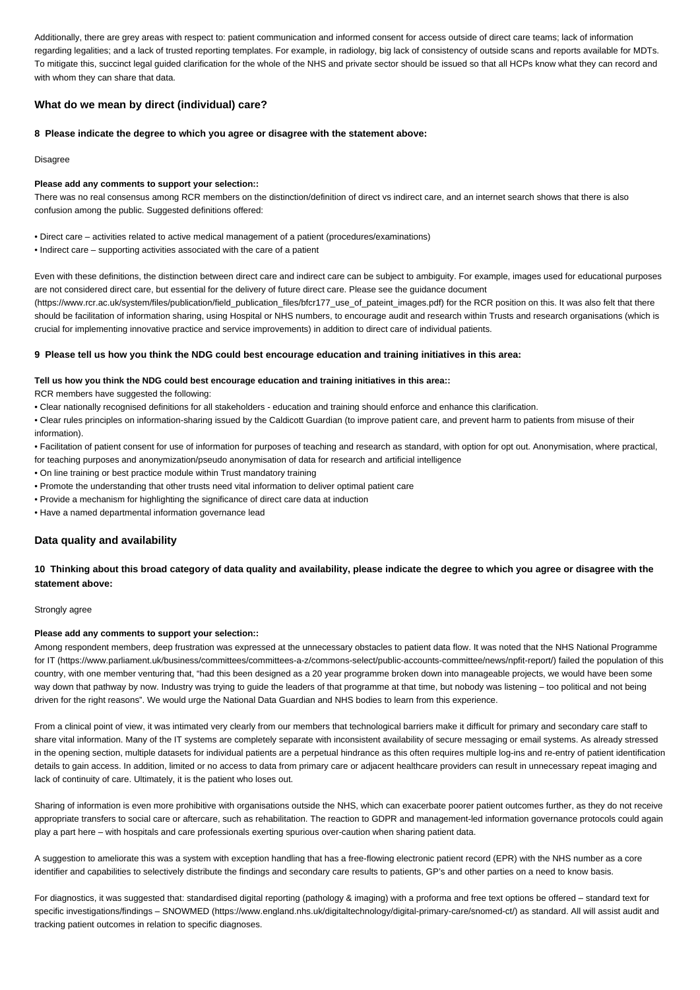Additionally, there are grey areas with respect to: patient communication and informed consent for access outside of direct care teams; lack of information regarding legalities; and a lack of trusted reporting templates. For example, in radiology, big lack of consistency of outside scans and reports available for MDTs. To mitigate this, succinct legal guided clarification for the whole of the NHS and private sector should be issued so that all HCPs know what they can record and with whom they can share that data.

## **What do we mean by direct (individual) care?**

#### **8 Please indicate the degree to which you agree or disagree with the statement above:**

Disagree

#### **Please add any comments to support your selection::**

There was no real consensus among RCR members on the distinction/definition of direct vs indirect care, and an internet search shows that there is also confusion among the public. Suggested definitions offered:

• Direct care – activities related to active medical management of a patient (procedures/examinations)

• Indirect care – supporting activities associated with the care of a patient

Even with these definitions, the distinction between direct care and indirect care can be subject to ambiguity. For example, images used for educational purposes are not considered direct care, but essential for the delivery of future direct care. Please see the guidance document

(https://www.rcr.ac.uk/system/files/publication/field\_publication\_files/bfcr177\_use\_of\_pateint\_images.pdf) for the RCR position on this. It was also felt that there should be facilitation of information sharing, using Hospital or NHS numbers, to encourage audit and research within Trusts and research organisations (which is crucial for implementing innovative practice and service improvements) in addition to direct care of individual patients.

#### **9 Please tell us how you think the NDG could best encourage education and training initiatives in this area:**

### **Tell us how you think the NDG could best encourage education and training initiatives in this area::**

RCR members have suggested the following:

• Clear nationally recognised definitions for all stakeholders - education and training should enforce and enhance this clarification.

• Clear rules principles on information-sharing issued by the Caldicott Guardian (to improve patient care, and prevent harm to patients from misuse of their information).

• Facilitation of patient consent for use of information for purposes of teaching and research as standard, with option for opt out. Anonymisation, where practical, for teaching purposes and anonymization/pseudo anonymisation of data for research and artificial intelligence

- On line training or best practice module within Trust mandatory training
- Promote the understanding that other trusts need vital information to deliver optimal patient care
- Provide a mechanism for highlighting the significance of direct care data at induction
- Have a named departmental information governance lead

## **Data quality and availability**

## **10 Thinking about this broad category of data quality and availability, please indicate the degree to which you agree or disagree with the statement above:**

### Strongly agree

## **Please add any comments to support your selection::**

Among respondent members, deep frustration was expressed at the unnecessary obstacles to patient data flow. It was noted that the NHS National Programme for IT (https://www.parliament.uk/business/committees/committees-a-z/commons-select/public-accounts-committee/news/npfit-report/) failed the population of this country, with one member venturing that, "had this been designed as a 20 year programme broken down into manageable projects, we would have been some way down that pathway by now. Industry was trying to guide the leaders of that programme at that time, but nobody was listening – too political and not being driven for the right reasons". We would urge the National Data Guardian and NHS bodies to learn from this experience.

From a clinical point of view, it was intimated very clearly from our members that technological barriers make it difficult for primary and secondary care staff to share vital information. Many of the IT systems are completely separate with inconsistent availability of secure messaging or email systems. As already stressed in the opening section, multiple datasets for individual patients are a perpetual hindrance as this often requires multiple log-ins and re-entry of patient identification details to gain access. In addition, limited or no access to data from primary care or adjacent healthcare providers can result in unnecessary repeat imaging and lack of continuity of care. Ultimately, it is the patient who loses out.

Sharing of information is even more prohibitive with organisations outside the NHS, which can exacerbate poorer patient outcomes further, as they do not receive appropriate transfers to social care or aftercare, such as rehabilitation. The reaction to GDPR and management-led information governance protocols could again play a part here – with hospitals and care professionals exerting spurious over-caution when sharing patient data.

A suggestion to ameliorate this was a system with exception handling that has a free-flowing electronic patient record (EPR) with the NHS number as a core identifier and capabilities to selectively distribute the findings and secondary care results to patients, GP's and other parties on a need to know basis.

For diagnostics, it was suggested that: standardised digital reporting (pathology & imaging) with a proforma and free text options be offered – standard text for specific investigations/findings – SNOWMED (https://www.england.nhs.uk/digitaltechnology/digital-primary-care/snomed-ct/) as standard. All will assist audit and tracking patient outcomes in relation to specific diagnoses.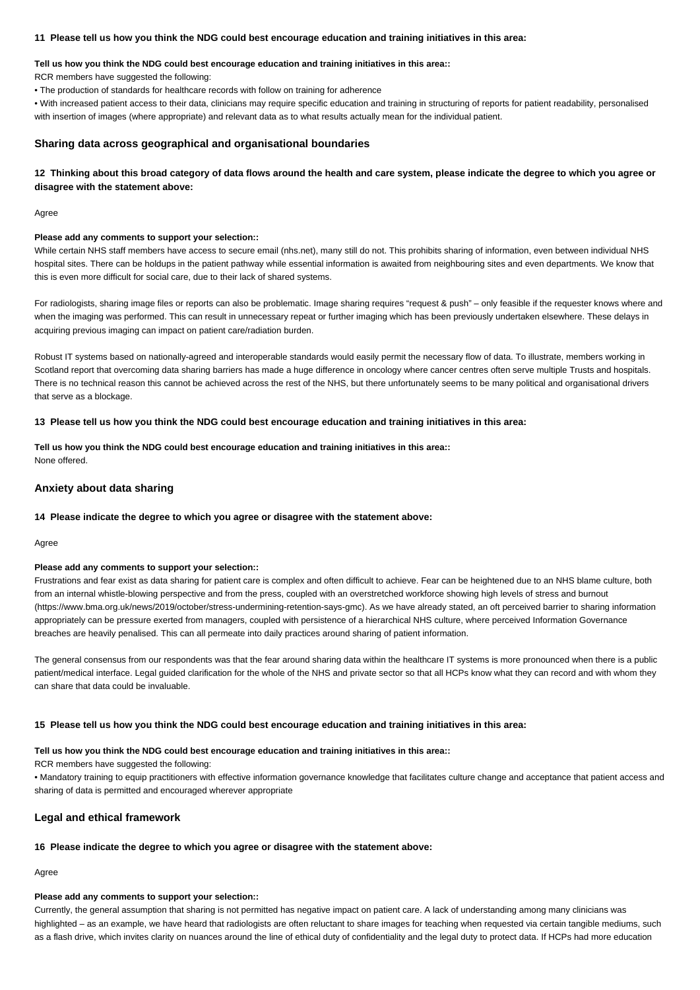### **11 Please tell us how you think the NDG could best encourage education and training initiatives in this area:**

## **Tell us how you think the NDG could best encourage education and training initiatives in this area::**

RCR members have suggested the following:

• The production of standards for healthcare records with follow on training for adherence

• With increased patient access to their data, clinicians may require specific education and training in structuring of reports for patient readability, personalised with insertion of images (where appropriate) and relevant data as to what results actually mean for the individual patient.

### **Sharing data across geographical and organisational boundaries**

**12 Thinking about this broad category of data flows around the health and care system, please indicate the degree to which you agree or disagree with the statement above:**

Agree

## **Please add any comments to support your selection::**

While certain NHS staff members have access to secure email (nhs.net), many still do not. This prohibits sharing of information, even between individual NHS hospital sites. There can be holdups in the patient pathway while essential information is awaited from neighbouring sites and even departments. We know that this is even more difficult for social care, due to their lack of shared systems.

For radiologists, sharing image files or reports can also be problematic. Image sharing requires "request & push" – only feasible if the requester knows where and when the imaging was performed. This can result in unnecessary repeat or further imaging which has been previously undertaken elsewhere. These delays in acquiring previous imaging can impact on patient care/radiation burden.

Robust IT systems based on nationally-agreed and interoperable standards would easily permit the necessary flow of data. To illustrate, members working in Scotland report that overcoming data sharing barriers has made a huge difference in oncology where cancer centres often serve multiple Trusts and hospitals. There is no technical reason this cannot be achieved across the rest of the NHS, but there unfortunately seems to be many political and organisational drivers that serve as a blockage.

#### **13 Please tell us how you think the NDG could best encourage education and training initiatives in this area:**

**Tell us how you think the NDG could best encourage education and training initiatives in this area::** None offered.

## **Anxiety about data sharing**

#### **14 Please indicate the degree to which you agree or disagree with the statement above:**

Agree

#### **Please add any comments to support your selection::**

Frustrations and fear exist as data sharing for patient care is complex and often difficult to achieve. Fear can be heightened due to an NHS blame culture, both from an internal whistle-blowing perspective and from the press, coupled with an overstretched workforce showing high levels of stress and burnout (https://www.bma.org.uk/news/2019/october/stress-undermining-retention-says-gmc). As we have already stated, an oft perceived barrier to sharing information appropriately can be pressure exerted from managers, coupled with persistence of a hierarchical NHS culture, where perceived Information Governance breaches are heavily penalised. This can all permeate into daily practices around sharing of patient information.

The general consensus from our respondents was that the fear around sharing data within the healthcare IT systems is more pronounced when there is a public patient/medical interface. Legal guided clarification for the whole of the NHS and private sector so that all HCPs know what they can record and with whom they can share that data could be invaluable.

#### **15 Please tell us how you think the NDG could best encourage education and training initiatives in this area:**

### **Tell us how you think the NDG could best encourage education and training initiatives in this area::**

RCR members have suggested the following:

• Mandatory training to equip practitioners with effective information governance knowledge that facilitates culture change and acceptance that patient access and sharing of data is permitted and encouraged wherever appropriate

## **Legal and ethical framework**

#### **16 Please indicate the degree to which you agree or disagree with the statement above:**

Agree

## **Please add any comments to support your selection::**

Currently, the general assumption that sharing is not permitted has negative impact on patient care. A lack of understanding among many clinicians was highlighted – as an example, we have heard that radiologists are often reluctant to share images for teaching when requested via certain tangible mediums, such as a flash drive, which invites clarity on nuances around the line of ethical duty of confidentiality and the legal duty to protect data. If HCPs had more education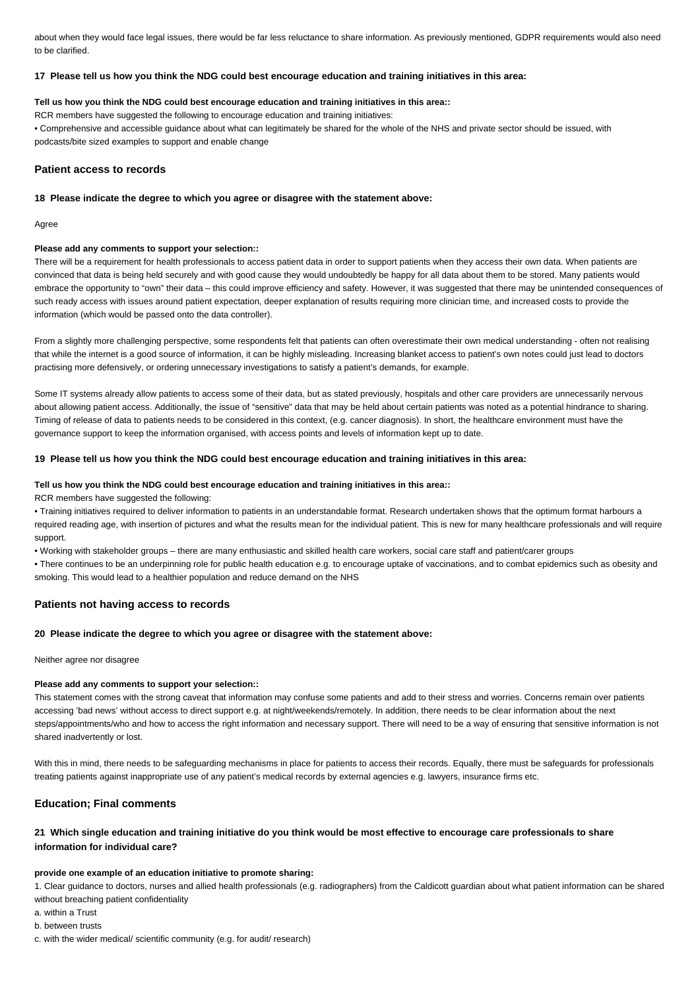about when they would face legal issues, there would be far less reluctance to share information. As previously mentioned, GDPR requirements would also need to be clarified.

## **17 Please tell us how you think the NDG could best encourage education and training initiatives in this area:**

### **Tell us how you think the NDG could best encourage education and training initiatives in this area::**

RCR members have suggested the following to encourage education and training initiatives:

• Comprehensive and accessible guidance about what can legitimately be shared for the whole of the NHS and private sector should be issued, with podcasts/bite sized examples to support and enable change

## **Patient access to records**

## **18 Please indicate the degree to which you agree or disagree with the statement above:**

Agree

#### **Please add any comments to support your selection::**

There will be a requirement for health professionals to access patient data in order to support patients when they access their own data. When patients are convinced that data is being held securely and with good cause they would undoubtedly be happy for all data about them to be stored. Many patients would embrace the opportunity to "own" their data – this could improve efficiency and safety. However, it was suggested that there may be unintended consequences of such ready access with issues around patient expectation, deeper explanation of results requiring more clinician time, and increased costs to provide the information (which would be passed onto the data controller).

From a slightly more challenging perspective, some respondents felt that patients can often overestimate their own medical understanding - often not realising that while the internet is a good source of information, it can be highly misleading. Increasing blanket access to patient's own notes could just lead to doctors practising more defensively, or ordering unnecessary investigations to satisfy a patient's demands, for example.

Some IT systems already allow patients to access some of their data, but as stated previously, hospitals and other care providers are unnecessarily nervous about allowing patient access. Additionally, the issue of "sensitive" data that may be held about certain patients was noted as a potential hindrance to sharing. Timing of release of data to patients needs to be considered in this context, (e.g. cancer diagnosis). In short, the healthcare environment must have the governance support to keep the information organised, with access points and levels of information kept up to date.

## **19 Please tell us how you think the NDG could best encourage education and training initiatives in this area:**

#### **Tell us how you think the NDG could best encourage education and training initiatives in this area::**

RCR members have suggested the following:

• Training initiatives required to deliver information to patients in an understandable format. Research undertaken shows that the optimum format harbours a required reading age, with insertion of pictures and what the results mean for the individual patient. This is new for many healthcare professionals and will require support.

• Working with stakeholder groups – there are many enthusiastic and skilled health care workers, social care staff and patient/carer groups

• There continues to be an underpinning role for public health education e.g. to encourage uptake of vaccinations, and to combat epidemics such as obesity and smoking. This would lead to a healthier population and reduce demand on the NHS

## **Patients not having access to records**

#### **20 Please indicate the degree to which you agree or disagree with the statement above:**

Neither agree nor disagree

### **Please add any comments to support your selection::**

This statement comes with the strong caveat that information may confuse some patients and add to their stress and worries. Concerns remain over patients accessing 'bad news' without access to direct support e.g. at night/weekends/remotely. In addition, there needs to be clear information about the next steps/appointments/who and how to access the right information and necessary support. There will need to be a way of ensuring that sensitive information is not shared inadvertently or lost.

With this in mind, there needs to be safeguarding mechanisms in place for patients to access their records. Foually, there must be safeguards for professionals treating patients against inappropriate use of any patient's medical records by external agencies e.g. lawyers, insurance firms etc.

## **Education; Final comments**

## **21 Which single education and training initiative do you think would be most effective to encourage care professionals to share information for individual care?**

## **provide one example of an education initiative to promote sharing:**

1. Clear guidance to doctors, nurses and allied health professionals (e.g. radiographers) from the Caldicott guardian about what patient information can be shared without breaching patient confidentiality

a. within a Trust

b. between trusts

c. with the wider medical/ scientific community (e.g. for audit/ research)